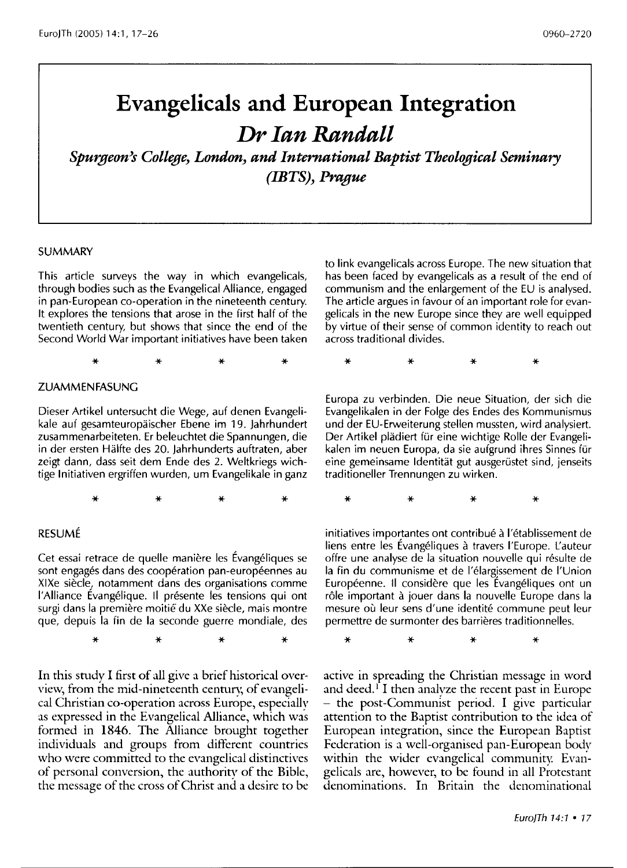# **Evangelicals and European Integration**  *Dr Ian Randall*

*SpU1;geon's College, London, and International Baptist Theological Seminary (IBTS), Prague* 

#### **SUMMARY**

This article surveys the way in which evangelicals, through bodies such as the Evangelical Alliance, engaged in pan-European co-operation in the nineteenth century. It explores the tensions that arose in the first half of the twentieth century, but shows that since the end of the Second World War important initiatives have been taken

\* \* \* \*

#### ZUAMMENFASUNG

Dieser Artikel untersucht die Wege, auf denen Evangelikale auf gesamteuropaischer Ebene im 19. lahrhundert zusammenarbeiteten. Er beleuchtet die Spannungen, die in der ersten Halfte des 20. lahrhunderts auftraten, aber zeigt dann, dass seit dem Ende des 2. Weltkriegs wichtige Initiativen ergriffen wurden, um Evangelikale in ganz

\* \* \* \*

### RESUME

Cet essai retrace de quelle maniere les Evangeliques se sont engagés dans des coopération pan-européennes au XIXe siècle, notamment dans des organisations comme l'Alliance Évangélique. Il présente les tensions qui ont surgi dans la première moitié du XXe siècle, mais montre que, depuis la fin de la seconde guerre mondiale, des

\* \* \* \*

In this study I first of all give a brief historical overview, from the mid-nineteenth century, of evangelical Christian co-operation across Europe, especially as expressed in the Evangelical Alliance, which was formed in 1846. The Alliance brought together individuals and groups from different countries who were committed to the evangelical distinctives of personal conversion, the authority of the Bible, the message of the cross of Christ and a desire to be to link evangelicals across Europe. The new situation that has been faced by evangelicals as a result of the end of communism and the enlargement of the EU is analysed. The article argues in favour of an important role for evangelicals in the new Europe since they are well equipped by virtue of their sense of common identity to reach out across traditional divides.

\* \* \* \*

Europa zu verbinden. Die neue Situation, der sich die Evangelikalen in der Folge des Endes des Kommunismus und der EU-Erweiterung stellen mussten, wird analysiert. Der Artikel plädiert für eine wichtige Rolle der Evangelikalen im neuen Europa, da sie aufgrund ihres Sinnes für eine gemeinsame Identität gut ausgerüstet sind, jenseits traditioneller Trennungen zu wirken.

\* \* \* \*

initiatives importantes ont contribué à l'établissement de liens entre les Évangéliques à travers l'Europe. L'auteur offre une analyse de la situation nouvelle qui résulte de la fin du communisme et de I'elargissement de l'Union Européenne. Il considère que les Évangéliques ont un rôle important à jouer dans la nouvelle Europe dans la mesure où leur sens d'une identité commune peut leur permettre de surmonter des barrieres traditionnelles.

\* \* \* \*

active in spreading the Christian message in word and deed.<sup> $\Gamma$ </sup>I then analyze the recent past in Europe - the post-Communist period. I give particular attention to the Baptist contribution to the idea of European integration, since the European Baptist Federation is a well-organised pan-European body within the wider evangelical community. Evangelicals are, however, to be found in all Protestant denominations. In Britain the denominational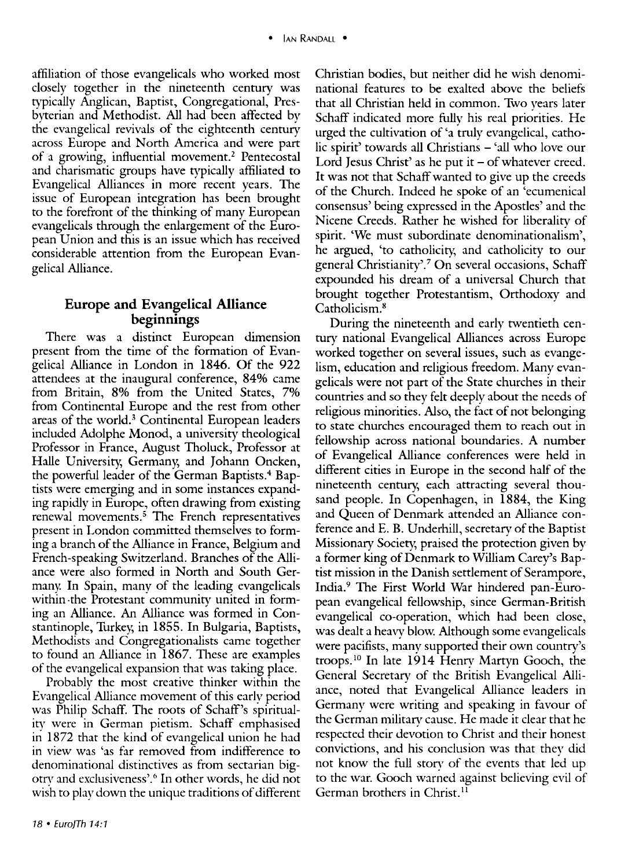affiliation of those evangelicals who worked most closely together in the nineteenth century was typically Anglican, Baptist, Congregational, Presbyterian and Methodist. All had been affected by the evangelical revivals of the eighteenth century across Europe and North America and were part of a growing, influential movement.<sup>2</sup> Pentecostal and charismatic groups have typically affiliated to Evangelical Alliances in more recent years. The issue of European integration has been brought to the forefront of the thinking of many European evangelicals through the enlargement of the European Union and this is an issue which has received considerable attention from the European Evangelical Alliance.

# **Europe and Evangelical Alliance beginnings**

There was a distinct European dimension present from the time of the formation of Evangelical Alliance in London in 1846. Of the 922 attendees at the inaugural conference, 84% came from Britain, 8% from the United States, 7% from Continental Europe and the rest from other areas of the world.<sup>3</sup> Continental European leaders included Adolphe Monod, a university theological Professor in France, August Tholuck, Professor at Halle University, Germany, and Johann Oncken, the powerful leader of the German Baptists.<sup>4</sup> Baptists were emerging and in some instances expanding rapidly in Europe, often drawing from existing renewal movements.<sup>5</sup> The French representatives present in London committed themselves to forming a branch of the Alliance in France, Belgium and French-speaking Switzerland. Branches of the Alliance were also formed in North and South Germany. In Spain, many of the leading evangelicals within ·the Protestant community united in forming an Alliance. An Alliance was formed in Constantinople, Turkey, in 1855. In Bulgaria, Baptists, Methodists and Congregationalists came together to found an Alliance in 1867. These are examples of the evangelical expansion that was taking place.

Probably the most creative thinker within the Evangelical Alliance movement of this early period was Philip Schaff. The roots of Schaff's spirituality were in German pietism. Schaff emphasised in 1872 that the kind of evangelical union he had in view was 'as far removed from indifference to denominational distinctives as from sectarian bigotry and exclusiveness'.6 In other words, he did not wish to play down the unique traditions of different Christian bodies, but neither did he wish denominational features to be exalted above the beliefs that all Christian held in common. Two years later Schaff indicated more fully his real priorities. He urged the cultivation of 'a truly evangelical, catholic spirit' towards all Christians - 'all who love our Lord Jesus Christ' as he put it  $-$  of whatever creed. It was not that Schaff wanted to give up the creeds of the Church. Indeed he spoke of an 'ecumenical consensus' being expressed in the Apostles' and the Nicene Creeds. Rather he wished for liberality of spirit. 'We must subordinate denominationalism', he argued, 'to catholicity, and catholicity to our general Christianity'.? On several occasions, Schaff expounded his dream of a universal Church that brought together Protestantism, Orthodoxy and Catholicism.8

During the nineteenth and early twentieth century national Evangelical Alliances across Europe worked together on several issues, such as evangelism, education and religious freedom. Many evangelicals were not part of the State churches in their countries and so they felt deeply about the needs of religious minorities. Also, the fact of not belonging to state churches encouraged them to reach out in fellowship across national boundaries. A number of Evangelical Alliance conferences were held in different cities in Europe in the second half of the nineteenth century, each attracting several thousand people. In Copenhagen, in 1884, the King and Queen of Denmark attended an Alliance conference and E. B. Underhill, secretary of the Baptist Missionary Society, praised the protection given by a former king of Denmark to William Carey's Baptist mission in the Danish settlement of Serampore, India.9 The First World War hindered pan-European evangelical fellowship, since German-British evangelical co-operation, which had been close, was dealt a heavy blow: Although some evangelicals were pacifists, many supported their own country's troops.<sup>10</sup> In late 1914 Henry Martyn Gooch, the General Secretary of the British Evangelical Alliance, noted that Evangelical Alliance leaders in Germany were writing and speaking in favour of the German military cause. He made it clear that he respected their devotion to Christ and their honest convictions, and his conclusion was that they did not know the full story of the events that led up to the war. Gooch warned against believing evil of German brothers in Christ.<sup>11</sup>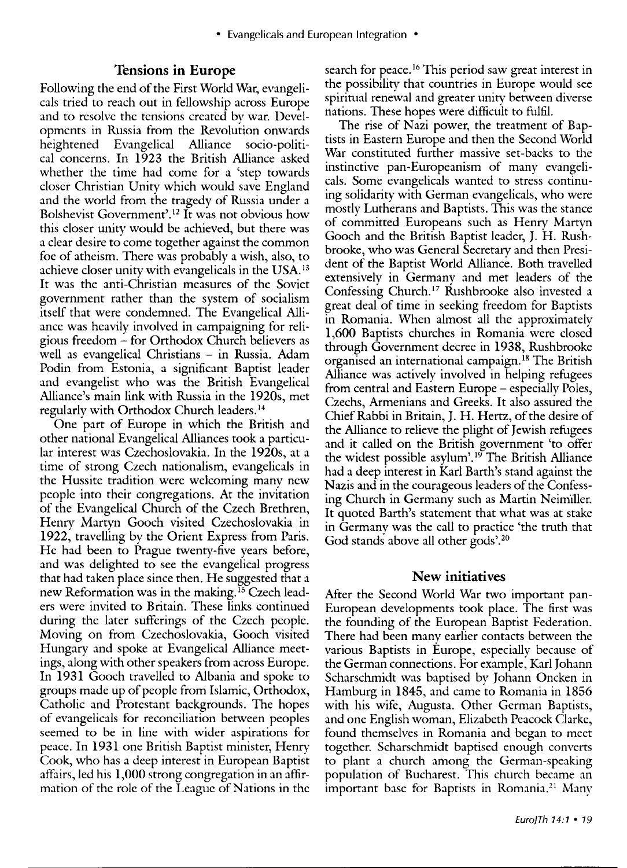# **Tensions in Europe**

Following the end of the First World War, evangelicals tried to reach out in fellowship across Europe and to resolve the tensions created by war. Developments in Russia from the Revolution onwards heightened Evangelical Alliance socio-political concerns. In 1923 the British Alliance asked whether the time had come for a 'step towards closer Christian Unity which would save England and the world from the tragedy of Russia under a Bolshevist Government'.12 It was not obvious how this closer unity would be achieved, but there was a clear desire to come together against the common foe of atheism. There was probably a wish, also, to achieve closer unity with evangelicals in the USA. 13 It was the anti-Christian measures of the Soviet government rather than the system of socialism itself that were condemned. The Evangelical Alliance was heavily involved in campaigning for religious freedom - for Orthodox Church believers as well as evangelical Christians – in Russia. Adam Podin from Estonia, a significant Baptist leader and evangelist who was the British Evangelical Alliance's main link with Russia in the 1920s, met regularly with Orthodox Church leaders. 14

One part of Europe in which the British and other national Evangelical Alliances took a particular interest was Czechoslovakia. In the 1920s, at a time of strong Czech nationalism, evangelicals in the Hussite tradition were welcoming many new people into their congregations. At the invitation of the Evangelical Church of the Czech Brethren, Henry Martyn Gooch visited Czechoslovakia in 1922, travelling by the Orient Express from Paris. He had been to Prague twenty-five years before, and was delighted to see the evangelical progress that had taken place since then. He suggested that a new Reformation was in the making.<sup>15</sup> Czech leaders were invited to Britain. These links continued during the later sufferings of the Czech people. Moving on from Czechoslovakia, Gooch visited Hungary and spoke at Evangelical Alliance meetings, along with other speakers from across Europe. In 1931 Gooch travelled to Albania and spoke to groups made up of people from Islamic, Orthodox, Catholic and Protestant backgrounds. The hopes of evangelicals for reconciliation between peoples seemed to be in line with wider aspirations for peace. In 1931 one British Baptist minister, Henry Cook, who has a deep interest in European Baptist atTairs, led his 1,000 strong congregation in an affirmation of the role of the League of Nations in the

search for peace. 16 This period saw great interest in the possibility that countries in Europe would see spiritual renewal and greater unity between diverse nations. These hopes were difficult to fulfil.

The rise of Nazi power, the treatment of Baptists in Eastern Europe and then the Second World War constituted further massive set-backs to the instinctive pan-Europeanism of many evangelicals. Some evangelicals wanted to stress continuing solidarity with German evangelicals, who were mostly Lutherans and Baptists. This was the stance of committed Europeans such as Henry Martyn Gooch and the British Baptist leader, J. H. Rushbrooke, who was General Secretary and then President of the Baptist World Alliance. Both travelled extensively in Germany and met leaders of the Confessing Church. 17 Rushbrooke also invested a great deal of time in seeking freedom for Baptists in Romania. When almost all the approximately 1,600 Baptists churches in Romania were closed through Government decree in 1938, Rushbrooke organised an international campaign. 18 The British Alliance was actively involved in helping refugees from central and Eastern Europe – especially Poles, Czechs, Armenians and Greeks. It also assured the Chief Rabbi in Britain, J. H. Hertz, of the desire of the Alliance to relieve the plight of Jewish refugees and it called on the British government 'to offer the widest possible asylum'.<sup>19</sup> The British Alliance had a deep interest in Karl Barth's stand against the Nazis and in the courageous leaders of the Confessing Church in Germany such as Martin Neimiller. It quoted Barth's statement that what was at stake in Germany was the call to practice 'the truth that God stands above all other gods'.20

#### **New initiatives**

After the Second World War two important pan-European developments took place. The first was the founding of the European Baptist Federation. There had been many earlier contacts between the various Baptists in Europe, especially because of the German connections. For example, Karl Johann Scharschmidt was baptised by Johann Oncken in Hamburg in 1845, and came to Romania in 1856 with his wife, Augusta. Other German Baptists, and one English woman, Elizabeth Peacock Clarke, found themselves in Romania and began to meet together. Scharschmidt baptised enough converts to plant a church among the German-speaking population of Bucharest. This church became an important base for Baptists in Romania.<sup>21</sup> Many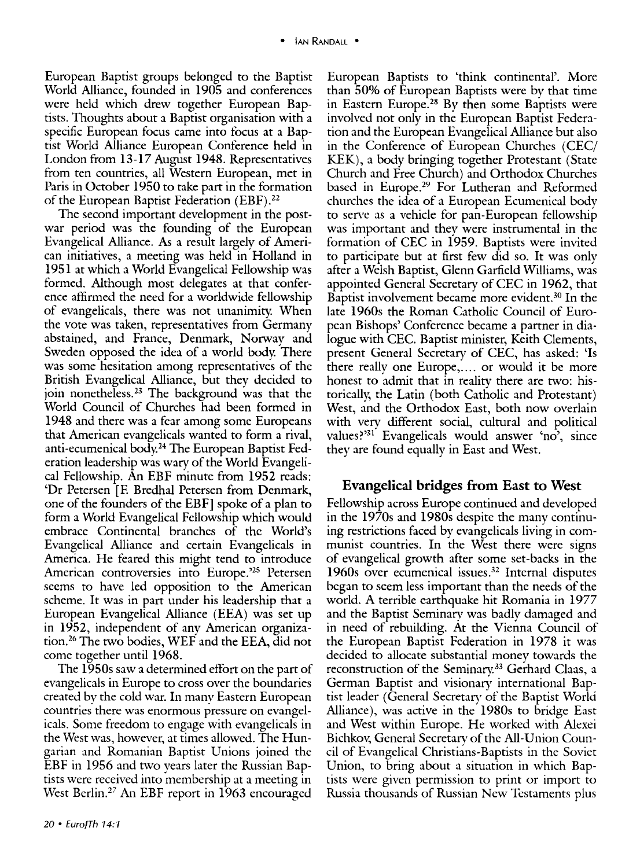European Baptist groups belonged to the Baptist World Alliance, founded in 1905 and conferences were held which drew together European Baptists. Thoughts about a Baptist organisation with a specific European focus came into focus at a Baptist World Alliance European Conference held in London from 13-17 August 1948. Representatives from ten countries, all Western European, met in Paris in October 1950 to take part in the formation of the European Baptist Federation (EBF).22

The second important development in the postwar period was the founding of the European Evangelical Alliance. As a result largely of American initiatives, a meeting was held in Holland in 1951 at which a World Evangelical Fellowship was formed. Although most delegates at that conference affirmed the need for a worldwide fellowship of evangelicals, there was not unanimity. When the vote was taken, representatives from Germany abstained, and France, Denmark, Norway and Sweden opposed the idea of a world body. There was some hesitation among representatives of the British Evangelical Alliance, but they decided to join nonetheless.23 The background was that the World Council of Churches had been formed in 1948 and there was a fear among some Europeans that American evangelicals wanted to form a rival, anti-ecumenical body.24 The European Baptist Federation leadership was wary of the World Evangelical Fellowship. An EBF minute from 1952 reads: 'Or Petersen [E Bredhal Petersen from Denmark, one of the founders of the EBF] spoke of a plan to form a World Evangelical Fellowship which would embrace Continental branches of the World's Evangelical Alliance and certain Evangelicals in America. He feared this might tend to introduce American controversies into Europe.<sup>25</sup> Petersen seems to have led opposition to the American scheme. It was in part under his leadership that a European Evangelical Alliance (EEA) was set up in 1952, independent of any American organization.26 The two bodies, WEF and the EEA, did not come together until 1968.

The 1950s saw a determined effort on the part of evangelicals in Europe to cross over the boundaries created by the cold war. In many Eastern European countries there was enormous pressure on evangelicals. Some freedom to engage with evangelicals in the West was, however, at times allowed. The Hungarian and Romanian Baptist Unions joined the EBF in 1956 and two years later the Russian Baptists were received into membership at a meeting in West Berlin.<sup>27</sup> An EBF report in 1963 encouraged

European Baptists to 'think continental'. More than 50% of European Baptists were by that time in Eastern Europe.28 By then some Baptists were involved not only in the European Baptist Federation and the European Evangelical Alliance but also in the Conference of European Churches (CEC/ KEK), a body bringing together Protestant (State Church and Free Church) and Orthodox Churches based in Europe.<sup>29</sup> For Lutheran and Reformed churches the idea of a European Ecumenical body to serve as a vehicle for pan-European fellowship was important and they were instrumental in the formation of CEC in 1959. Baptists were invited to participate but at first few did so. It was only after a Welsh Baptist, Glenn Garfield Williams, was appointed General Secretary of CEC in 1962, that Baptist involvement became more evident.<sup>30</sup> In the late 1960s the Roman Catholic Council of European Bishops' Conference became a partner in dialogue with CEC. Baptist minister, Keith Clements, present General Secretary of CEC, has asked: 'Is there really one Europe,.... or would it be more honest to admit that in reality there are two: historically, the Latin (both Catholic and Protestant) West, and the Orthodox East, both now overlain with very different social, cultural and political values?'31 Evangelicals would answer 'no', since they are found equally in East and West.

## **Evangelical bridges from East to West**

Fellowship across Europe continued and developed in the 1970s and 1980s despite the many continuing restrictions faced by evangelicals living in communist countries. In the West there were signs of evangelical growth after some set-backs in the 1960s over ecumenical issues.32 Internal disputes began to seem less important than the needs of the world. A terrible earthquake hit Romania in 1977 and the Baptist Seminary was badly damaged and in need of rebuilding. At the Vienna Council of the European Baptist Federation in 1978 it was decided to allocate substantial money towards the reconstruction of the Seminary. 33 Gerhard Claas, a German Baptist and visionary international Baptist leader (General Secretary of the Baptist World Alliance), was active in the 1980s to bridge East and West within Europe. He worked with Alexei Bichkov, General Secretary of the All-Union Council of Evangelical Christians-Baptists in the Soviet Union, to bring about a situation in which Baptists were given permission to print or import to Russia thousands of Russian New Testaments plus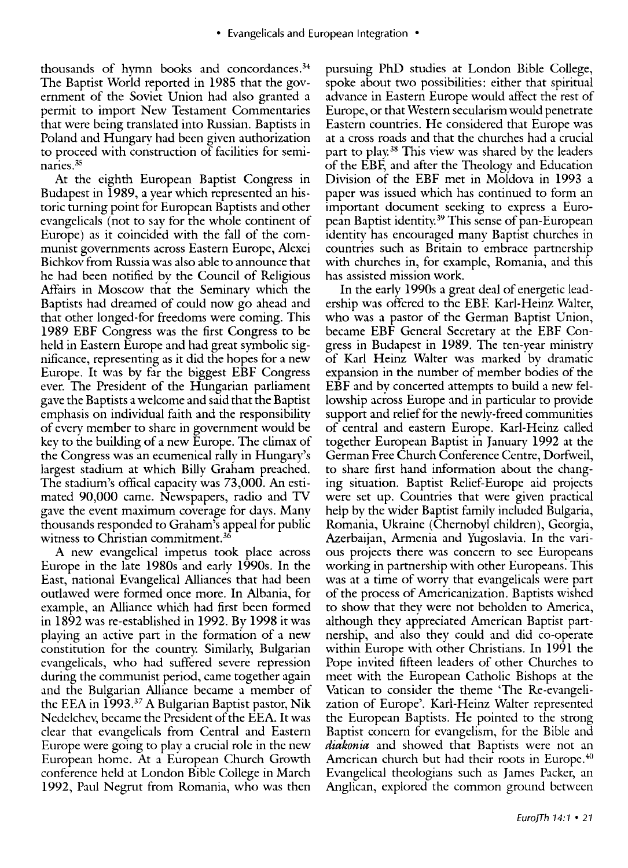thousands of hymn books and concordances.34 The Baptist World reported in 1985 that the government of the Soviet Union had also granted a permit to import New Testament Commentaries that were being translated into Russian. Baptists in Poland and Hungary had been given authorization to proceed with construction of facilities for seminaries. <sup>35</sup>

At the eighth European Baptist Congress in Budapest in 1989, a year which represented an historic turning point for European Baptists and other evangelicals (not to say for the whole continent of Europe) as it coincided with the fall of the communist governments across Eastern Europe, Alexei Bichkov from Russia was also able to announce that he had been notified by the Council of Religious Affairs in Moscow that the Seminary which the Baptists had dreamed of could now go ahead and that other longed-for freedoms were coming. This 1989 EBF Congress was the first Congress to be held in Eastern Europe and had great symbolic significance, representing as it did the hopes for a new Europe. It was by far the biggest EBF Congress ever. The President of the Hungarian parliament gave the Baptists a welcome and said that the Baptist emphasis on individual faith and the responsibility of every member to share in government would be key to the building of a new Europe. The climax of the Congress was an ecumenical rally in Hungary's largest stadium at which Billy Graham preached. The stadium's offical capacity was 73,000. An estimated 90,000 came. Newspapers, radio and TV gave the event maximum coverage for days. Many thousands responded to Graham's appeal for public witness to Christian commitment.<sup>36</sup>

A new evangelical impetus took place across Europe in the late 1980s and early 1990s. In the East, national Evangelical Alliances that had been outlawed were formed once more. In Albania, for example, an Alliance which had first been formed in 1892 was re-established in 1992. By 1998 it was playing an active part in the formation of a new constitution for the country. Similarly, Bulgarian evangelicals, who had suffered severe repression during the communist period, came together again and the Bulgarian Alliance became a member of the EEA in 1993.37 A Bulgarian Baptist pastor, Nik Nedelchev, became the President of the EEA. It was clear that evangelicals from Central and Eastern Europe were going to play a crucial role in the new European home. At a European Church Growth conference held at London Bible College in March 1992, Paul Negrut from Romania, who was then pursuing PhD studies at London Bible College, spoke about two possibilities: either that spiritual advance in Eastern Europe would affect the rest of Europe, or that Western secularism would penetrate Eastern countries. He considered that Europe was at a cross roads and that the churches had a crucial part to play.38 This view was shared by the leaders of the EBF, and after the Theology and Education Division of the EBF met in Moldova in 1993 a paper was issued which has continued to form an important document seeking to express a European Baptist identity. 39 This sense of pan-European identity has encouraged many Baptist churches in countries such as Britain to embrace partnership with churches in, for example, Romania, and this has assisted mission work.

In the early 1990s a great deal of energetic leadership was offered to the EBF. Karl-Heinz WaIter, who was a pastor of the German Baptist Union, became EBF General Secretary at the EBF Congress in Budapest in 1989. The ten-year ministry of Karl Heinz WaIter was marked by dramatic expansion in the number of member bodies of the EBF and by concerted attempts to build a new fellowship across Europe and in particular to provide support and relief for the newly-freed communities of central and eastern Europe. Karl-Heinz called together European Baptist in January 1992 at the German Free Church Conference Centre, Dorfweil, to share first hand information about the changing situation. Baptist Relief-Europe aid projects were set up. Countries that were given practical help by the wider Baptist family included Bulgaria, Romania, Ukraine (Chernobyl children), Georgia, Azerbaijan, Armenia and Yugoslavia. In the various projects there was concern to see Europeans working in partnership with other Europeans. This was at a time of worry that evangelicals were part of the process of Americanization. Baptists wished to show that they were not beholden to America, although they appreciated American Baptist partnership, and also they could and did co-operate within Europe with other Christians. In 1991 the Pope invited fifteen leaders of other Churches to meet with the European Catholic Bishops at the Vatican to consider the theme 'The Re-evangelization of Europe'. Karl-Heinz WaIter represented the European Baptists. He pointed to the strong Baptist concern for evangelism, for the Bible and *diakonia* and showed that Baptists were not an American church but had their roots in Europe.<sup>40</sup> Evangelical theologians such as James Packer, an Anglican, explored the common ground between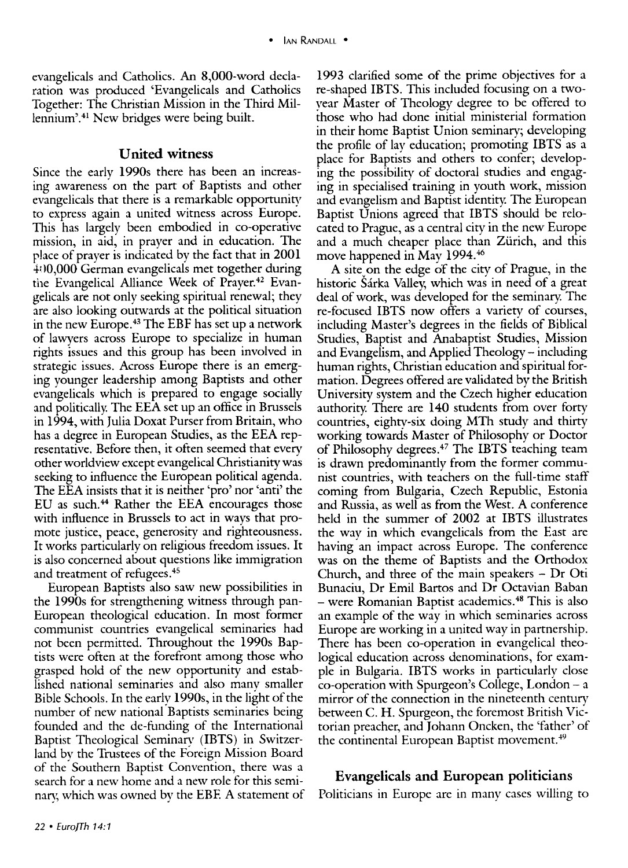evangelicals and Catholics. An 8,000-word declaration was produced 'Evangelicals and Catholics Together: The Christian Mission in the Third Millennium'.<sup>41</sup> New bridges were being built.

## United witness

Since the early 1990s there has been an increasing awareness on the part of Baptists and other evangelicals that there is a remarkable opportunity to express again a united witness across Europe. This has largely been embodied in co-operative mission, in aid, in prayer and in education. The place of prayer is indicated by the fact that in 2001 4: 10,000 German evangelicals met together during the Evangelical Alliance Week of Prayer.<sup>42</sup> Evangelicals are not only seeking spiritual renewal; they are also looking outwards at the political situation in the new Europe. 43 The EBF has set up a network of lawyers across Europe to specialize in human rights issues and this group has been involved in strategic issues. Across Europe there is an emerging younger leadership among Baptists and other evangelicals which is prepared to engage socially and politically. The EEA set up an office in Brussels in 1994, with Julia Doxat Purser from Britain, who has a degree in European Studies, as the EEA representative. Before then, it often seemed that every other worldview except evangelical Christianity was seeking to influence the European political agenda. The EEA insists that it is neither 'pro' nor 'anti' the EU as such. 44 Rather the EEA encourages those with influence in Brussels to act in ways that promote justice, peace, generosity and righteousness. It works particularly on religious freedom issues. It is also concerned about questions like immigration and treatment of refugees. <sup>45</sup>

European Baptists also saw new possibilities in the 1990s for strengthening witness through pan-European theological education. In most former communist countries evangelical seminaries had not been permitted. Throughout the 1990s Baptists were often at the forefront among those who grasped hold of the new opportunity and established national seminaries and also many smaller Bible Schools. In the early 1990s, in the light of the number of new national Baptists seminaries being founded and the de-funding of the International Baptist Theological Seminary (lETS) in Switzerland by the Trustees of the Foreign Mission Board of the Southern Baptist Convention, there was a search for a new home and a new role for this seminary, which was owned by the EBF. A statement of 1993 clarified some of the prime objectives for a re-shaped lETS. This included focusing on a twoyear Master of Theology degree to be offered to those who had done initial ministerial formation in their home Baptist Union seminary; developing the profile of lay education; promoting lETS as a place for Baptists and others to confer; developing the possibility of doctoral studies and engaging in specialised training in youth work, mission and evangelism and Baptist identity. The European Baptist Unions agreed that lETS should be relocated to Prague, as a central city in the new Europe and a much cheaper place than Zürich, and this move happened in May 1994.46

A site on the edge of the city of Prague, in the historic Sárka Valley, which was in need of a great deal of work, was developed for the seminary. The re-focused IBTS now offers a variety of courses, including Master's degrees in the fields of Biblical Studies, Baptist and Anabaptist Studies, Mission and Evangelism, and Applied Theology – including human rights, Christian education and spiritual formation. Degrees offered are validated by the British University system and the Czech higher education authority. There are 140 students from over forty countries, eighty-six doing MTh study and thirty working towards Master of Philosophy or Doctor of Philosophy degrees.<sup>47</sup> The IBTS teaching team is drawn predominantly from the former communist countries, with teachers on the full-time staff coming from Bulgaria, Czech Republic, Estonia and Russia, as well as from the West. A conference held in the summer of 2002 at IBTS illustrates the way in which evangelicals from the East are having an impact across Europe. The conference was on the theme of Baptists and the Orthodox Church, and three of the main speakers - Dr Oti Bunaciu, Dr Emil Bartos and Dr Octavian Baban - were Romanian Baptist academics. 48 This is also an example of the way in which seminaries across Europe are working in a united way in partnership. There has been co-operation in evangelical theological education across denominations, for example in Bulgaria. lETS works in particularly close co-operation with Spurgeon's College, London - a mirror of the connection in the nineteenth century between C. H. Spurgeon, the foremost British Victorian preacher, and Johann Oncken, the 'father' of the continental European Baptist movement.<sup>49</sup>

# Evangelicals and European politicians

Politicians in Europe are in many cases willing to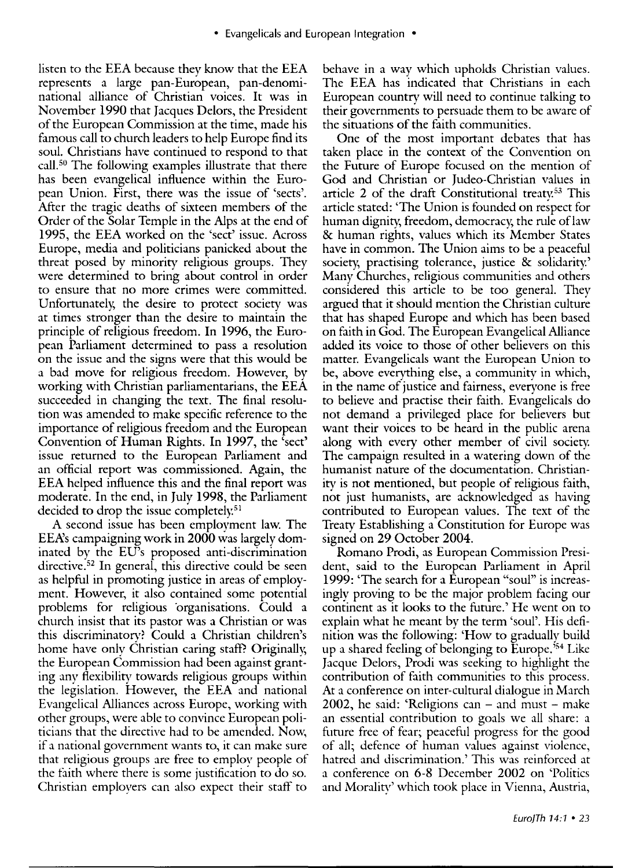listen to the EEA because they know that the EEA represents a large pan-European, pan-denominational alliance of Christian voices. It was in November 1990 that Jacques Delors, the President of the European Commission at the time, made his famous call to church leaders to help Europe find its soul. Christians have continued to respond to that call. 50 The following examples illustrate that there has been evangelical influence within the European Union. First, there was the issue of 'sects'. After the tragic deaths of sixteen members of the Order of the Solar Temple in the Alps at the end of 1995, the EEA worked on the 'sect' issue. Across Europe, media and politicians panicked about the threat posed by minority religious groups. They were determined to bring about control in order to ensure that no more crimes were committed. Unfortunately, the desire to protect society was at times stronger than the desire to maintain the principle of religious freedom. In 1996, the European Parliament determined to pass a resolution on the issue and the signs were that this would be a bad move for religious freedom. However, by working with Christian parliamentarians, the EEA succeeded in changing the text. The final resolution was amended to make specific reference to the importance of religious freedom and the European Convention of Human Rights. In 1997, the 'sect' issue returned to the European Parliament and an official report was commissioned. Again, the EEA helped influence this and the final report was moderate. In the end, in July 1998, the Parliament decided to drop the issue completely.<sup>51</sup>

A second issue has been employment law. The EEA's campaigning work in 2000 was largely dominated by the EU's proposed anti-discrimination directive. 52 In general, this directive could be seen as helpful in promoting justice in areas of employment. However, it also contained some potential problems for religious organisations. Could a church insist that its pastor was a Christian or was this discriminatory? Could a Christian children's home have only Christian caring staff? Originally, the European Commission had been against granting any flexibility towards religious groups within the legislation. However, the EEA and national Evangelical Alliances across Europe, working with other groups, were able to convince European politicians that the directive had to be amended. Now, if a national government wants to, it can make sure that religious groups are free to employ people of the faith where there is some justification to do so. Christian employers can also expect their staff to

behave in a way which upholds Christian values. The EEA has indicated that Christians in each European country will need to continue talking to their governments to persuade them to be aware of the situations of the faith communities.

One of the most important debates that has taken place in the context of the Convention on the Future of Europe focused on the mention of God and Christian or Judeo-Christian values in article 2 of the draft Constitutional treaty.<sup>53</sup> This article stated: 'The Union is founded on respect for human dignity, freedom, democracy, the rule of law & human rights, values which its Member States have in common. The Union aims to be a peaceful society, practising tolerance, justice & solidarity.' Many Churches, religious communities and others considered this article to be too general. They argued that it should mention the Christian culture that has shaped Europe and which has been based on faith in God. The European Evangelical Alliance added its voice to those of other believers on this matter. Evangelicals want the European Union to be, above everything else, a community in which, in the name of justice and fairness, everyone is free to believe and practise their faith. Evangelicals do not demand a privileged place for believers but want their voices to be heard in the public arena along with every other member of civil society. The campaign resulted in a watering down of the humanist nature of the documentation. Christianity is not mentioned, but people of religious faith, not just humanists, are acknowledged as having contributed to European values. The text of the Treaty Establishing a Constitution for Europe was signed on 29 October 2004.

Romano Prodi, as European Commission President, said to the European Parliament in April 1999: 'The search for a European "soul" is increasingly proving to be the major problem facing our continent as it looks to the future.' He went on to explain what he meant by the term 'soul'. His definition was the following: 'How to gradually build up a shared feeling of belonging to Europe.<sup>354</sup> Like Jacque Delors, Prodi was seeking to highlight the contribution of faith communities to this process. At a conference on inter-cultural dialogue in March  $2002$ , he said: 'Religions can – and must – make an essential contribution to goals we all share: a future free of fear; peaceful progress for the good of all; defence of human values against violence, hatred and discrimination.' This was reinforced at a conference on 6-8 December 2002 on 'Politics and Morality' which took place in Vienna, Austria,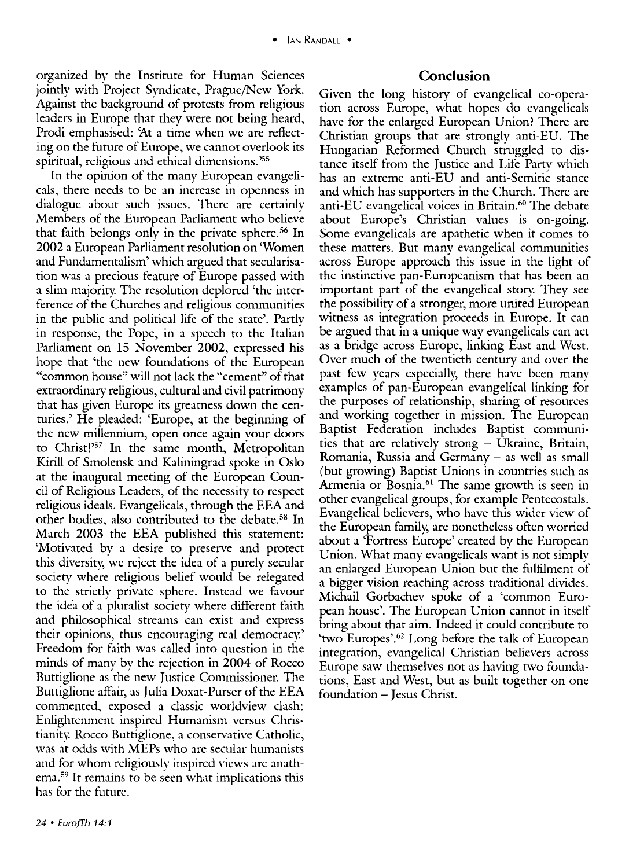organized by the Institute for Human Sciences jointly with Project Syndicate, Prague/New York. Against the background of protests from religious leaders in Europe that they were not being heard, Prodi emphasised: 'At a time when we are reflecting on the future of Europe, we cannot overlook its spiritual, religious and ethical dimensions.'55

In the opinion of the many European evangelicals, there needs to be an increase in openness in dialogue about such issues. There are certainly Members of the European Parliament who believe that faith belongs only in the private sphere. 56 In 2002 a European Parliament resolution on 'Women and Fundamentalism' which argued that secularisation was a precious feature of Europe passed with a slim majority. The resolution deplored 'the interference of the Churches and religious communities in the public and political life of the state'. Partly in response, the Pope, in a speech to the Italian Parliament on 15 November 2002, expressed his hope that 'the new foundations of the European "common house" will not lack the "cement" of that extraordinary religious, cultural and civil patrimony that has given Europe its greatness down the centuries.' He pleaded: 'Europe, at the beginning of the new millennium, open once again your doors to Christ!'57 In the same month, Metropolitan Kirill of Smolensk and Kaliningrad spoke in Oslo at the inaugural meeting of the European Council of Religious Leaders, of the necessity to respect religious ideals. Evangelicals, through the EEA and other bodies, also contributed to the debate.<sup>58</sup> In March 2003 the EEA published this statement: 'Motivated by a desire to preserve and protect this diversity, we reject the idea of a purely secular society where religious belief would be relegated to the strictly private sphere. Instead we favour the idea of a pluralist society where different faith and philosophical streams can exist and express their opinions, thus encouraging real democracy' Freedom for faith was called into question in the minds of many by the rejection in 2004 of Rocco Buttiglione as the new Justice Commissioner. The Buttiglione affair, as Julia Doxat-Purser of the EEA commented, exposed a classic worldview clash: Enlightenment inspired Humanism versus Christianity. Rocco Buttiglione, a conservative Catholic, was at odds with MEPs who are secular humanists and for whom religiously inspired views are anathema.<sup>59</sup> It remains to be seen what implications this has for the future.

## **Conclusion**

Given the long history of evangelical co-operation across Europe, what hopes do evangelicals have for the enlarged European Union? There are Christian groups that are strongly anti-EU. The Hungarian Reformed Church struggled to distance itself from the Justice and Life Party which has an extreme anti-EU and anti-Semitic stance and which has supporters in the Church. There are anti-EU evangelical voices in Britain.<sup>60</sup> The debate about Europe's Christian values is on-going. Some evangelicals are apathetic when it comes to these matters. But many evangelical communities across Europe approach this issue in the light of the instinctive pan-Europeanism that has been an important part of the evangelical story They see the possibility of a stronger, more united European witness as integration proceeds in Europe. It can be argued that in a unique way evangelicals can act as a bridge across Europe, linking East and West. Over much of the twentieth century and over the past few years especially, there have been many examples of pan-European evangelical linking for the purposes of relationship, sharing of resources and working together in mission. The European Baptist Federation includes Baptist communities that are relatively strong - Ukraine, Britain, Romania, Russia and Germany - as well as small (but growing) Baptist Unions in countries such as Armenia or Bosnia.<sup>61</sup> The same growth is seen in other evangelical groups, for example Pentecostals. Evangelical believers, who have this wider view of the European family, are nonetheless often worried about a 'Fortress Europe' created by the European Union. What many evangelicals want is not simply an enlarged European Union but the fulfilment of a bigger vision reaching across traditional divides. Michail Gorbachev spoke of a 'common European house'. The European Union cannot in itself bring about that aim. Indeed it could contribute to 'two Europes'.62 Long before the talk of European integration, evangelical Christian believers across Europe saw themselves not as having two foundations, East and West, but as built together on one foundation - Jesus Christ.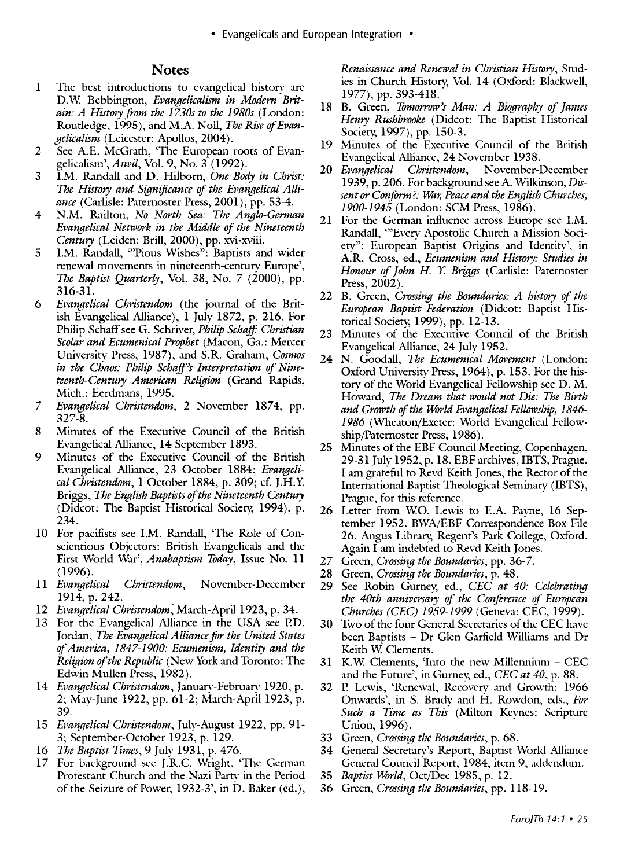#### **Notes**

- 1 The best introductions to evangelical history are D.W Bebbington, *Evangelicalism in Modern Britain: A History from the 1730s to the 1980s* (London: Routledge, 1995), and M.A. Noll, *The Rise of Evangelicalism* (Leicester: Apollos, 2004).
- 2 See AE. McGrath, 'The European roots of Evan*gelicalism',Anvil,* Vo!. 9, No. 3 (1992).
- 3 LM. Randall and D. Hilborn, *One Body in Christ: The History and Significance of the Evangelical Alliance* (Carlisle: Paternoster Press, 2001), pp. 53-4.
- 4 N.M. Railton, *No North Sea: The Anglo-German Evangelical Network in the Middle of the Nineteenth Century* (Leiden: Brill, 2000), pp. xvi-xviii.
- 5 LM. Randall, "'Pious Wishes": Baptists and wider renewal movements in nineteenth-century Europe', *The Baptist Quarterly,* Vo!. 38, No. 7 (2000), pp. 316-3l.
- *6 Evangelical Christendom* (the journal of the British Evangelical Alliance), 1 July 1872, p. 216. For Philip Schaff see G. Schriver, *Philip Schaff: Christian Scolar and Ecumenical Prophet* (Macon, Ga.: Mercer University Press, 1987), and S.R. Graham, *Cosmos in the Chaos: Philip Schaff's Interpretation of Nineteenth-Century American Religion* (Grand Rapids, Mich.: Eerdmans, 1995.
- *7 Evangelical Christendom,* 2 November 1874, pp. 327-8.
- 8 Minutes of the Executive Council of the British Evangelical Alliance, 14 September 1893.
- 9 Minutes of the Executive Council of the British Evangelical Alliance, 23 October 1884; *Evangelical Christendom,* 1 October 1884, p. 309; cf. J.H.Y. Briggs, *The English Baptists of the Nineteenth Century*  (Didcot: The Baptist Historical Society, 1994), p. 234.
- 10 For pacifists see LM. Randall, 'The Role of Conscientious Objectors: British Evangelicals and the First World War', *Anabaptism Today,* Issue No. 11 (1996).
- 11 *Evangelical Christendom,* November-December 1914, p. 242.
- *12 Evangelical Christendom;* March-April 1923, p. 34.
- 13 For the Evangelical Alliance in the USA see P.D. Jordan, *The Evangelical Alliance for the United States ofAmel'ica, 1847-1900: Ecumenism, Identity and the Religion of the Republic* (New York and Toronto: The Edwin Mullen Press, 1982).
- 14 *Evangelical Christendom,* January-February 1920, p. 2; May-June 1922, pp. 61-2; March-April 1923, p. 39.
- 15 *Evangelical Christendom*, July-August 1922, pp. 91-3; September-October 1923, p. 129.
- *16 The Baptist Times,* 9 July 1931, p. 476.
- 17 For background see J.R.C. Wright, 'The German Protestant Church and the Nazi Party in the Period of the Seizure of Power, 1932-3', in D. Baker (ed.),

*Renaissance and Renewal in Christian Historv,* Studies in Church History, Vol. 14 (Oxford: Blackwell, 1977), pp. 393-418.

- 18 B. Green, *Tomorrow's Man: A Biography of James Henry Rushbrooke* (Didcot: The Baptist Historical Society, 1997), pp. 150-3.
- 19 Minutes of the Executive Council of the British Evangelical Alliance, 24 November 1938.
- *20 Evangelical Christendom,* November-December 1939, p. 206. For background see A Wilkinson, *Dissent or Conform?: War, Peace and the English Churches, 1900-1945* (London: SCM Press, 1986).
- 21 For the German influence across Europe see LM. Randall, "'Every Apostolic Church a Mission Society": European Baptist Origins and Identity', in A:R. Cross, ed., *Ecumenism and History: Studies in*  Honour of John H. Y. Briggs (Carlisle: Paternoster Press, 2002).
- 22 B. Green, *Crossing the Boundaries: A history of the European Baptist Federation* (Didcot: Baptist Historical Society, 1999), pp. 12-13.
- 23 Minutes of the Executive Council of the British Evangelical Alliance, 24 July 1952.
- 24 N. Goodall, *The Ecumenical Movement* (London: Oxford University Press, 1964), p. 153. For the history of the World Evangelical Fellowship see D. M. Howard, *The Dream that would not Die: The Birth and Growth of the World Evangelical Fellowship, 1846-* 1986 (Wheaton/Exeter: World Evangelical Fellowship/paternoster Press, 1986).
- 25 Minutes of the EBF Council Meeting, Copenhagen, 29-31 July 1952, p. 18. EBF archives, IBTS, Prague. I am grateful to Revd Keith Jones, the Rector of the International Baptist Theological Seminary (IBTS), Prague, for this reference.
- 26 Letter from W.O. Lewis to E.A. Pavne, 16 September 1952. BWA/EBF Correspondence Box File 26. Angus Library, Regent's Park College, Oxford. Again I am indebted to Revd Keith Jones.
- 27 Green, *Crossing the Boundaries,* pp. 36-7.
- 28 Green, *Crossing the Boundaries,* p. 48.
- 29 See Robin Gurney, ed., *CEC at 40: Celebrating the 40th anniversary of the Conference of European Churches (CEC)* 1959-1999 (Geneva: CEC, 1999).
- 30 Two of the four General Secretaries of the CEC have been Baptists - Dr Glen Garfield Williams and Dr Keith W. Clements.
- 31 K.W Clements, 'Into the new Millennium CEC and the Future', in Gurney, ed., *CEC at 40*, p. 88.
- 32 P. Lewis, 'Renewal, Recovery and Growth: 1966 Onwards', in S. Brady and H. Rowdon, eds., *For*  Such a Time as This (Milton Keynes: Scripture Union, 1996).
- 33 Green, *Crossing the Boundaries,* p. 68.
- 34 General Secretary's Report, Baptist World Alliance General Council Report, 1984, item 9, addendum.
- *35 Baptist World,* Oct/Dec 1985, p. 12.
- 36 Green, *Crossing the Boundaries,* pp. 118-19.